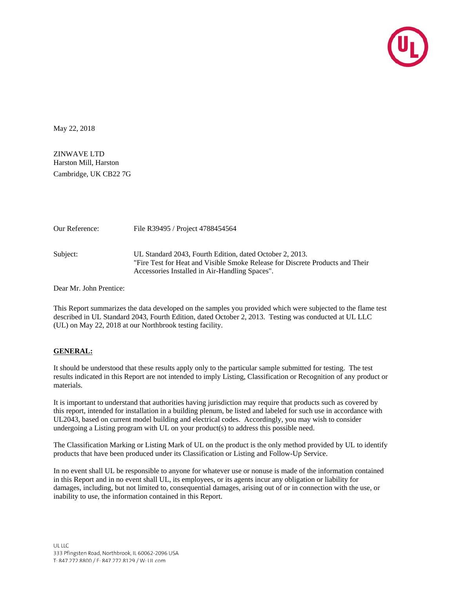

May 22, 2018

ZINWAVE LTD Harston Mill, Harston Cambridge, UK CB22 7G

| Our Reference: | File R39495 / Project 4788454564                                                                                                                                                            |
|----------------|---------------------------------------------------------------------------------------------------------------------------------------------------------------------------------------------|
| Subject:       | UL Standard 2043, Fourth Edition, dated October 2, 2013.<br>"Fire Test for Heat and Visible Smoke Release for Discrete Products and Their<br>Accessories Installed in Air-Handling Spaces". |

Dear Mr. John Prentice:

This Report summarizes the data developed on the samples you provided which were subjected to the flame test described in UL Standard 2043, Fourth Edition, dated October 2, 2013. Testing was conducted at UL LLC (UL) on May 22, 2018 at our Northbrook testing facility.

### **GENERAL:**

It should be understood that these results apply only to the particular sample submitted for testing. The test results indicated in this Report are not intended to imply Listing, Classification or Recognition of any product or materials.

It is important to understand that authorities having jurisdiction may require that products such as covered by this report, intended for installation in a building plenum, be listed and labeled for such use in accordance with UL2043, based on current model building and electrical codes. Accordingly, you may wish to consider undergoing a Listing program with UL on your product(s) to address this possible need.

The Classification Marking or Listing Mark of UL on the product is the only method provided by UL to identify products that have been produced under its Classification or Listing and Follow-Up Service.

In no event shall UL be responsible to anyone for whatever use or nonuse is made of the information contained in this Report and in no event shall UL, its employees, or its agents incur any obligation or liability for damages, including, but not limited to, consequential damages, arising out of or in connection with the use, or inability to use, the information contained in this Report.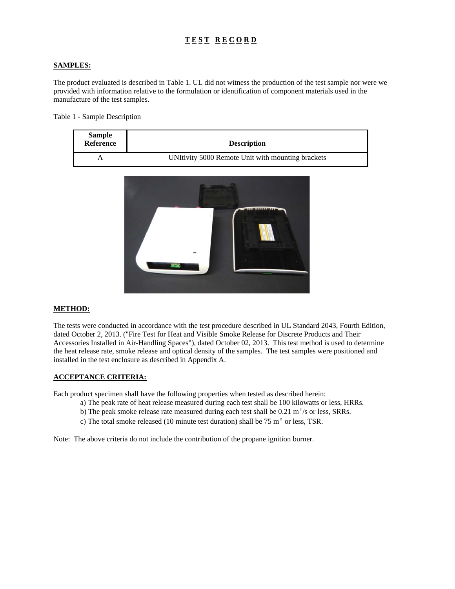# **T E S T R E C O R D**

#### **SAMPLES:**

The product evaluated is described in Table 1. UL did not witness the production of the test sample nor were we provided with information relative to the formulation or identification of component materials used in the manufacture of the test samples.

Table 1 - Sample Description

| <b>Sample</b><br>Reference | <b>Description</b>                                |
|----------------------------|---------------------------------------------------|
|                            | UNItivity 5000 Remote Unit with mounting brackets |



#### **METHOD:**

The tests were conducted in accordance with the test procedure described in UL Standard 2043, Fourth Edition, dated October 2, 2013. ("Fire Test for Heat and Visible Smoke Release for Discrete Products and Their Accessories Installed in Air-Handling Spaces"), dated October 02, 2013. This test method is used to determine the heat release rate, smoke release and optical density of the samples. The test samples were positioned and installed in the test enclosure as described in Appendix A.

#### **ACCEPTANCE CRITERIA:**

Each product specimen shall have the following properties when tested as described herein:

- a) The peak rate of heat release measured during each test shall be 100 kilowatts or less, HRRs.
- b) The peak smoke release rate measured during each test shall be  $0.21 \text{ m}^2/\text{s}$  or less, SRRs.
- c) The total smoke released (10 minute test duration) shall be 75 m² or less, TSR.

Note: The above criteria do not include the contribution of the propane ignition burner.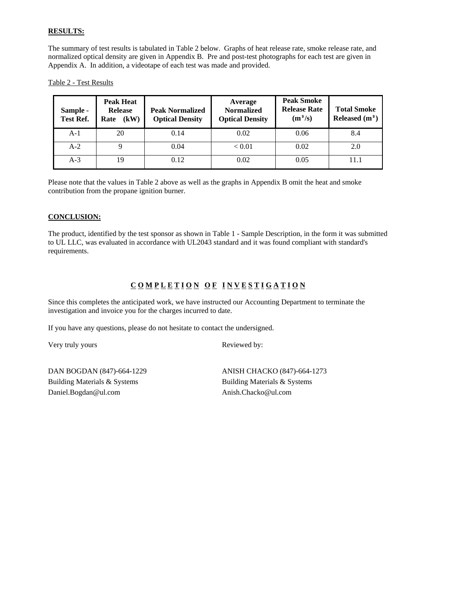### **RESULTS:**

The summary of test results is tabulated in Table 2 below. Graphs of heat release rate, smoke release rate, and normalized optical density are given in Appendix B. Pre and post-test photographs for each test are given in Appendix A. In addition, a videotape of each test was made and provided.

Table 2 - Test Results

| Sample -<br><b>Test Ref.</b> | <b>Peak Heat</b><br><b>Release</b><br>(kW)<br>Rate | <b>Peak Normalized</b><br><b>Optical Density</b> | Average<br><b>Normalized</b><br><b>Optical Density</b> | <b>Peak Smoke</b><br><b>Release Rate</b><br>$(m^2/s)$ | <b>Total Smoke</b><br>Released $(m2)$ |
|------------------------------|----------------------------------------------------|--------------------------------------------------|--------------------------------------------------------|-------------------------------------------------------|---------------------------------------|
| $A-1$                        | 20                                                 | 0.14                                             | 0.02                                                   | 0.06                                                  | 8.4                                   |
| $A-2$                        |                                                    | 0.04                                             | < 0.01                                                 | 0.02                                                  | 2.0                                   |
| $A-3$                        | 19                                                 | 0.12                                             | 0.02                                                   | 0.05                                                  | 11.1                                  |

Please note that the values in Table 2 above as well as the graphs in Appendix B omit the heat and smoke contribution from the propane ignition burner.

#### **CONCLUSION:**

The product, identified by the test sponsor as shown in Table 1 - Sample Description, in the form it was submitted to UL LLC, was evaluated in accordance with UL2043 standard and it was found compliant with standard's requirements.

## COMPLETION OF INVESTIGATION

Since this completes the anticipated work, we have instructed our Accounting Department to terminate the investigation and invoice you for the charges incurred to date.

If you have any questions, please do not hesitate to contact the undersigned.

Very truly yours Reviewed by:

DAN BOGDAN (847)-664-1229 ANISH CHACKO (847)-664-1273 Building Materials & Systems Building Materials & Systems Daniel.Bogdan@ul.com Anish.Chacko@ul.com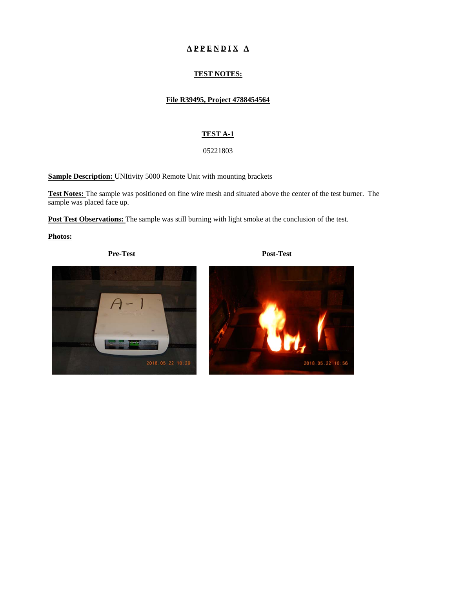# $A$  P P E N D I X A

### **TEST NOTES:**

#### **File R39495, Project 4788454564**

#### **TEST A-1**

#### 05221803

**Sample Description:** UNItivity 5000 Remote Unit with mounting brackets

**Test Notes:** The sample was positioned on fine wire mesh and situated above the center of the test burner. The sample was placed face up.

Post Test Observations: The sample was still burning with light smoke at the conclusion of the test.

**Photos:** 

**Pre-Test Post-Test** 



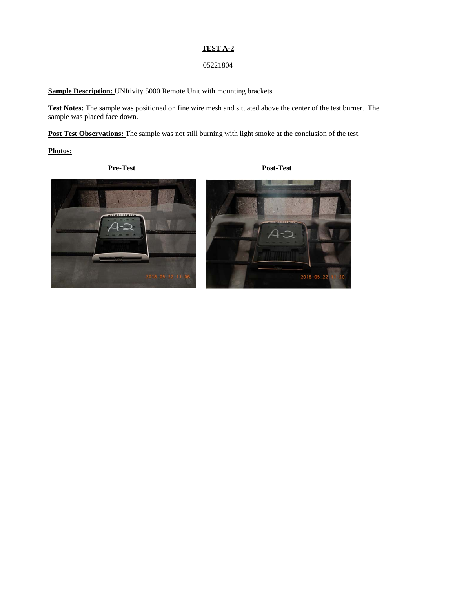#### **TEST A-2**

### 05221804

**Sample Description:** UNItivity 5000 Remote Unit with mounting brackets

**Test Notes:** The sample was positioned on fine wire mesh and situated above the center of the test burner. The sample was placed face down.

Post Test Observations: The sample was not still burning with light smoke at the conclusion of the test.

**Photos:** 

**Pre-Test Post-Test** 



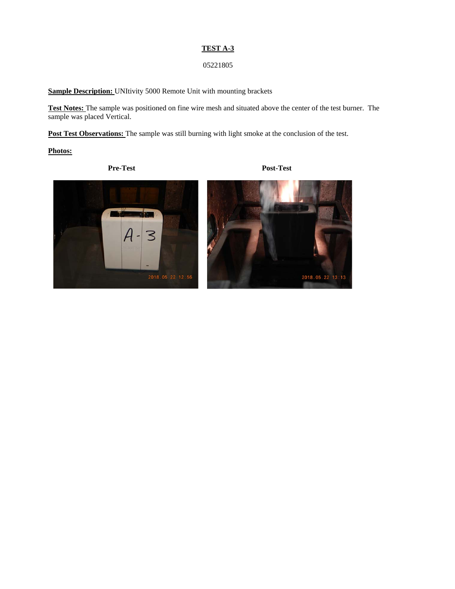#### **TEST A-3**

### 05221805

**Sample Description:** UNItivity 5000 Remote Unit with mounting brackets

**Test Notes:** The sample was positioned on fine wire mesh and situated above the center of the test burner. The sample was placed Vertical.

Post Test Observations: The sample was still burning with light smoke at the conclusion of the test.

**Photos:** 

**Pre-Test Post-Test** 

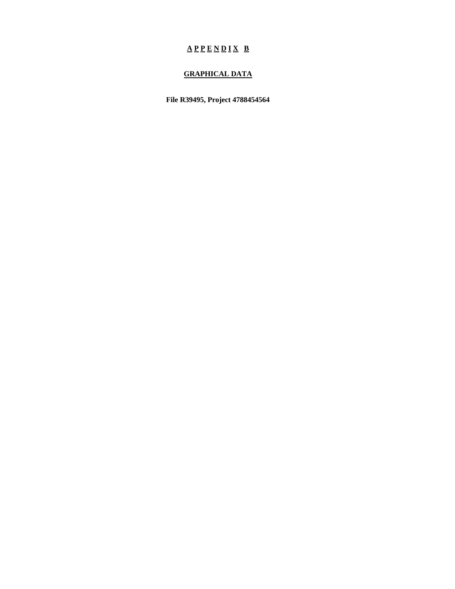# $A P P E N D I X B$

## **GRAPHICAL DATA**

**File R39495, Project 4788454564**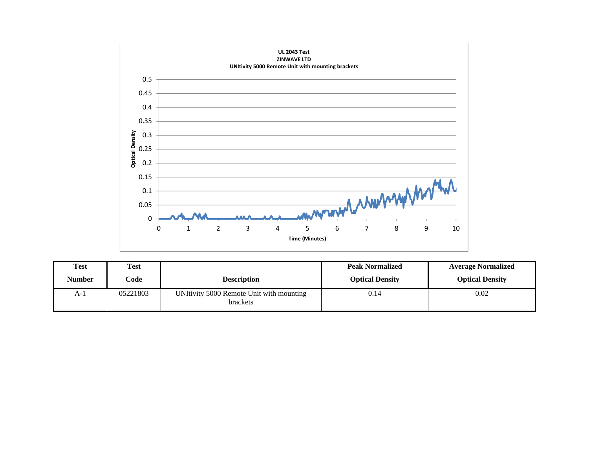

| Test   | <b>Test</b> |                                                      | <b>Peak Normalized</b> | <b>Average Normalized</b> |
|--------|-------------|------------------------------------------------------|------------------------|---------------------------|
| Number | Code        | <b>Description</b>                                   | <b>Optical Density</b> | <b>Optical Density</b>    |
| $A-1$  | 05221803    | UNItivity 5000 Remote Unit with mounting<br>brackets | 0.14                   | 0.02                      |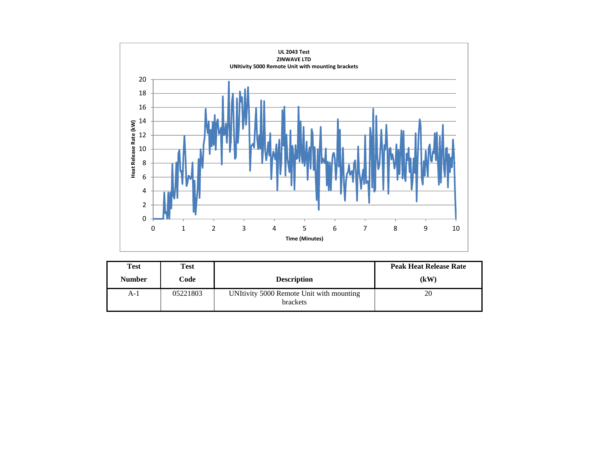

| Test          | Test     |                                                             | <b>Peak Heat Release Rate</b> |
|---------------|----------|-------------------------------------------------------------|-------------------------------|
| <b>Number</b> | Code     | <b>Description</b>                                          | (kW)                          |
| A-1           | 05221803 | UNItivity 5000 Remote Unit with mounting<br><b>brackets</b> | 20                            |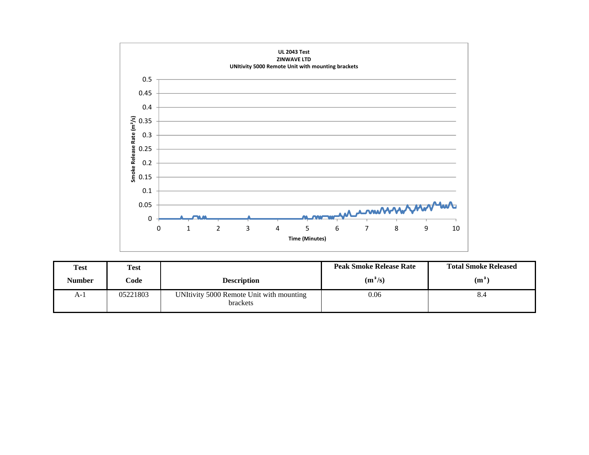

| <b>Test</b> | <b>Test</b> |                                                             | <b>Peak Smoke Release Rate</b> | <b>Total Smoke Released</b> |
|-------------|-------------|-------------------------------------------------------------|--------------------------------|-----------------------------|
| Number      | Code        | <b>Description</b>                                          | $(m^2/s)$                      | (m <sup>2</sup> )           |
| $A-1$       | 05221803    | UNItivity 5000 Remote Unit with mounting<br><b>brackets</b> | 0.06                           | 8.4                         |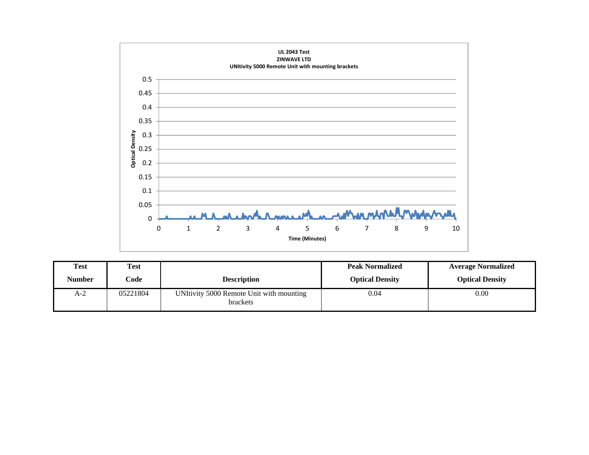

| <b>Test</b> | <b>Test</b> |                                                      | <b>Peak Normalized</b> | <b>Average Normalized</b> |
|-------------|-------------|------------------------------------------------------|------------------------|---------------------------|
| Number      | Code        | <b>Description</b>                                   | <b>Optical Density</b> | <b>Optical Density</b>    |
| A-2         | 05221804    | UNItivity 5000 Remote Unit with mounting<br>brackets | 0.04                   | 0.00                      |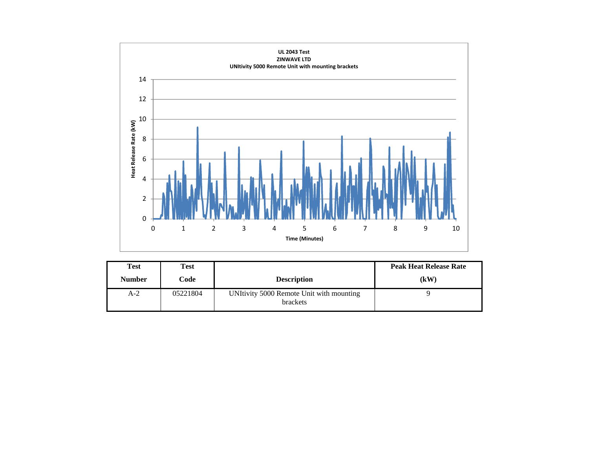

| Test          | Test     |                                                      | <b>Peak Heat Release Rate</b> |
|---------------|----------|------------------------------------------------------|-------------------------------|
| <b>Number</b> | Code     | <b>Description</b>                                   | (kW)                          |
| $A-2$         | 05221804 | UNItivity 5000 Remote Unit with mounting<br>brackets |                               |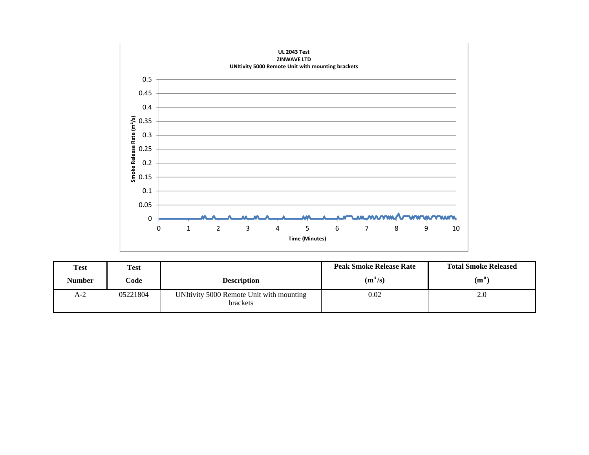

| <b>Test</b> | <b>Test</b> |                                                             | <b>Peak Smoke Release Rate</b> | <b>Total Smoke Released</b> |
|-------------|-------------|-------------------------------------------------------------|--------------------------------|-----------------------------|
| Number      | Code        | <b>Description</b>                                          | $(m^2/s)$                      | $(m^2)$                     |
| A-2         | 05221804    | UNItivity 5000 Remote Unit with mounting<br><b>brackets</b> | 0.02                           | 2.0                         |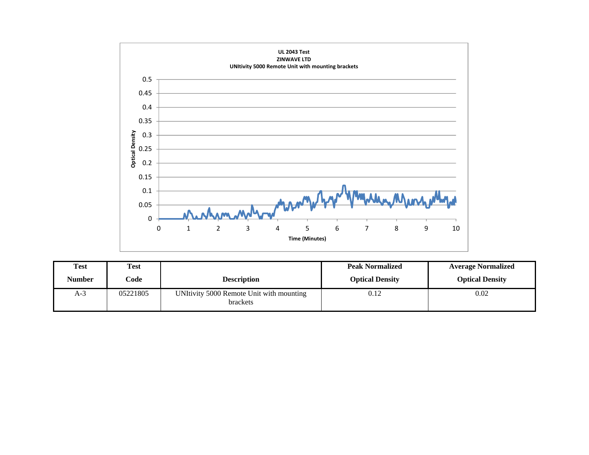

| Test          | <b>Test</b> |                                                      | <b>Peak Normalized</b> | <b>Average Normalized</b> |
|---------------|-------------|------------------------------------------------------|------------------------|---------------------------|
| <b>Number</b> | Code        | <b>Description</b>                                   | <b>Optical Density</b> | <b>Optical Density</b>    |
| $A-3$         | 05221805    | UNItivity 5000 Remote Unit with mounting<br>brackets | 0.12                   | 0.02                      |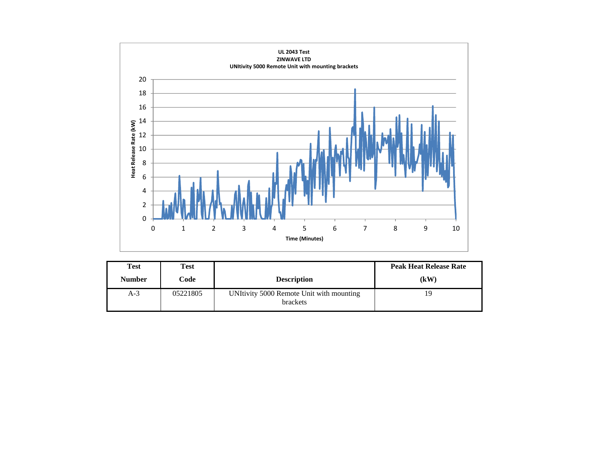

| Test          | <b>Test</b> |                                                      | <b>Peak Heat Release Rate</b> |
|---------------|-------------|------------------------------------------------------|-------------------------------|
| <b>Number</b> | Code        | <b>Description</b>                                   | (kW)                          |
| $A-3$         | 05221805    | UNItivity 5000 Remote Unit with mounting<br>brackets | 19                            |